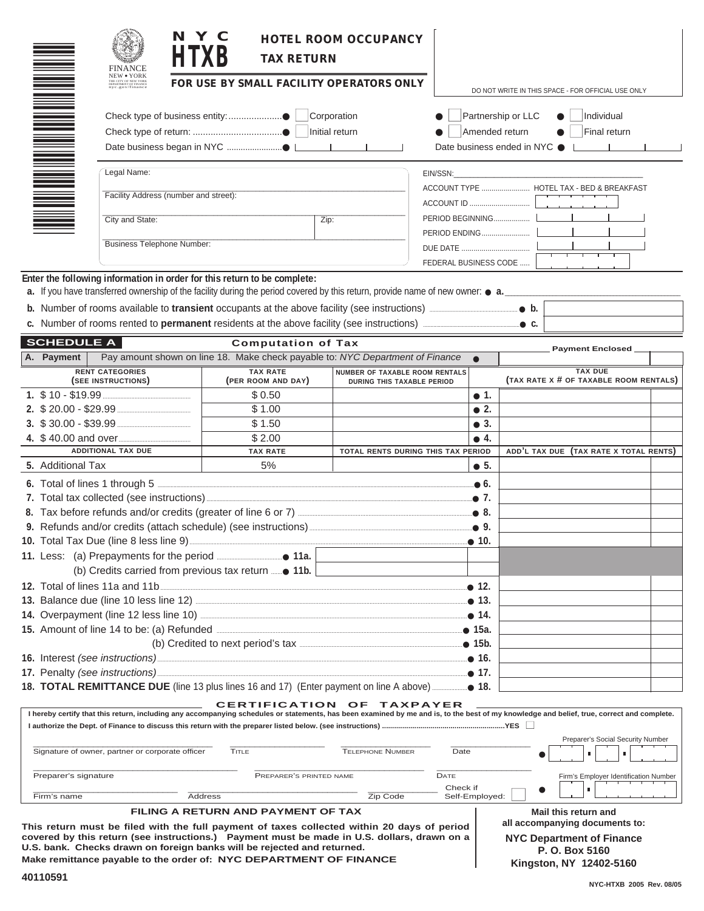| NYC<br><b>FINANCE</b>                                                                                                                                                                                              | <b>HOTEL ROOM OCCUPANCY</b><br><b>TAX RETURN</b> |                                                                                 |
|--------------------------------------------------------------------------------------------------------------------------------------------------------------------------------------------------------------------|--------------------------------------------------|---------------------------------------------------------------------------------|
| NEW • YORK<br>THE CITY OF NEW YORK<br>DEPARTMENT OF FINANCE<br>nyc.gov/finance                                                                                                                                     | FOR USE BY SMALL FACILITY OPERATORS ONLY         | DO NOT WRITE IN THIS SPACE - FOR OFFICIAL USE ONLY                              |
|                                                                                                                                                                                                                    | Corporation                                      | Partnership or LLC<br>Individual<br>$\bullet$<br>Amended return<br>Final return |
|                                                                                                                                                                                                                    |                                                  | Date business ended in NYC ●                                                    |
| NA MANA MANA MANA MATA<br>Legal Name:<br>Facility Address (number and street):                                                                                                                                     |                                                  | ACCOUNT TYPE  HOTEL TAX - BED & BREAKFAST                                       |
| City and State:                                                                                                                                                                                                    | Zip:                                             | PERIOD BEGINNING<br><b>PERIOD ENDING</b>                                        |
| <b>Business Telephone Number:</b>                                                                                                                                                                                  |                                                  | FEDERAL BUSINESS CODE                                                           |
| Enter the following information in order for this return to be complete:<br>a. If you have transferred ownership of the facility during the period covered by this return, provide name of new owner: $\bullet$ a. |                                                  |                                                                                 |
| c. Number of rooms rented to permanent residents at the above facility (see instructions)                                                                                                                          |                                                  | $\bullet$ b.<br>$\bullet$ C.                                                    |
| <b>SCHEDULE A</b>                                                                                                                                                                                                  | <b>Computation of Tax</b>                        | <b>Payment Enclosed</b>                                                         |

|                                                                                          |                                                                                                                                                                                                                               | OUIIIDULULIUII UI TUA                 |                                                                               |              | <b>Payment Enclosed</b>                                  |  |
|------------------------------------------------------------------------------------------|-------------------------------------------------------------------------------------------------------------------------------------------------------------------------------------------------------------------------------|---------------------------------------|-------------------------------------------------------------------------------|--------------|----------------------------------------------------------|--|
|                                                                                          | A. Payment                                                                                                                                                                                                                    |                                       | Pay amount shown on line 18. Make check payable to: NYC Department of Finance |              |                                                          |  |
|                                                                                          | <b>RENT CATEGORIES</b><br>(SEE INSTRUCTIONS)                                                                                                                                                                                  | <b>TAX RATE</b><br>(PER ROOM AND DAY) | <b>NUMBER OF TAXABLE ROOM RENTALS</b><br><b>DURING THIS TAXABLE PERIOD</b>    |              | <b>TAX DUE</b><br>(TAX RATE X # OF TAXABLE ROOM RENTALS) |  |
|                                                                                          |                                                                                                                                                                                                                               | \$0.50                                |                                                                               | $\bullet$ 1. |                                                          |  |
|                                                                                          |                                                                                                                                                                                                                               | \$1.00                                |                                                                               | $\bullet$ 2. |                                                          |  |
|                                                                                          |                                                                                                                                                                                                                               | \$1.50                                |                                                                               | $\bullet$ 3. |                                                          |  |
|                                                                                          |                                                                                                                                                                                                                               | \$2.00                                |                                                                               | $\bullet$ 4. |                                                          |  |
|                                                                                          | <b>ADDITIONAL TAX DUE</b>                                                                                                                                                                                                     | <b>TAX RATE</b>                       | TOTAL RENTS DURING THIS TAX PERIOD                                            |              | ADD'L TAX DUE (TAX RATE X TOTAL RENTS)                   |  |
|                                                                                          | 5. Additional Tax                                                                                                                                                                                                             | 5%                                    |                                                                               | $\bullet$ 5. |                                                          |  |
|                                                                                          | 6. Total of lines 1 through 5                                                                                                                                                                                                 |                                       |                                                                               | .● 6.        |                                                          |  |
|                                                                                          | 7. Total tax collected (see instructions) [2012] The contract of the contract of the contract of the contract of the contract of the contract of the contract of the contract of the contract of the contract of the contract |                                       |                                                                               | …● 7.        |                                                          |  |
|                                                                                          |                                                                                                                                                                                                                               |                                       |                                                                               |              |                                                          |  |
|                                                                                          |                                                                                                                                                                                                                               |                                       |                                                                               |              |                                                          |  |
|                                                                                          |                                                                                                                                                                                                                               |                                       |                                                                               |              |                                                          |  |
|                                                                                          |                                                                                                                                                                                                                               |                                       |                                                                               |              |                                                          |  |
|                                                                                          |                                                                                                                                                                                                                               |                                       |                                                                               |              |                                                          |  |
|                                                                                          |                                                                                                                                                                                                                               |                                       |                                                                               |              |                                                          |  |
|                                                                                          |                                                                                                                                                                                                                               |                                       |                                                                               |              |                                                          |  |
|                                                                                          |                                                                                                                                                                                                                               |                                       |                                                                               |              |                                                          |  |
|                                                                                          |                                                                                                                                                                                                                               |                                       |                                                                               |              |                                                          |  |
| (b) Credited to next period's tax <b>manufacture and the set of the set of the 15b</b> . |                                                                                                                                                                                                                               |                                       |                                                                               |              |                                                          |  |
|                                                                                          |                                                                                                                                                                                                                               |                                       |                                                                               |              |                                                          |  |
|                                                                                          |                                                                                                                                                                                                                               |                                       |                                                                               |              |                                                          |  |
|                                                                                          |                                                                                                                                                                                                                               |                                       |                                                                               |              |                                                          |  |
|                                                                                          | CERTIFICATION OF TAXPAYER                                                                                                                                                                                                     |                                       |                                                                               |              |                                                          |  |
|                                                                                          | I hereby certify that this return, including any accompanying schedules or statements, has been examined by me and is, to the best of my knowledge and belief, true, correct and complete.                                    |                                       |                                                                               |              |                                                          |  |
|                                                                                          | Louthorize the Dent of Einange to diogues this return with the preparer listed below (ass instructional VEC                                                                                                                   |                                       |                                                                               |              |                                                          |  |

| Thereby certify that this return, including any accompanying schedules or statements, has been examined by me and is, to the best of my knowledge and belief, true, correct and complete.<br>Signature of owner, partner or corporate officer                                                                                                                                            | TITLE. | <b>TELEPHONE NUMBER</b> | Date             | .YES L | Preparer's Social Security Number                                                                                                |
|------------------------------------------------------------------------------------------------------------------------------------------------------------------------------------------------------------------------------------------------------------------------------------------------------------------------------------------------------------------------------------------|--------|-------------------------|------------------|--------|----------------------------------------------------------------------------------------------------------------------------------|
| Preparer's signature                                                                                                                                                                                                                                                                                                                                                                     |        | PREPARER'S PRINTED NAME | DATE<br>Check if |        | Firm's Employer Identification Number                                                                                            |
| Firm's name<br><b>Address</b>                                                                                                                                                                                                                                                                                                                                                            |        | Zip Code                | Self-Employed:   |        |                                                                                                                                  |
| <b>FILING A RETURN AND PAYMENT OF TAX</b><br>This return must be filed with the full payment of taxes collected within 20 days of period<br>covered by this return (see instructions.) Payment must be made in U.S. dollars, drawn on a<br>U.S. bank. Checks drawn on foreign banks will be rejected and returned.<br>Make remittance payable to the order of: NYC DEPARTMENT OF FINANCE |        |                         |                  |        | Mail this return and<br>all accompanying documents to:<br>NYC Department of Finance<br>P. O. Box 5160<br>Kingston, NY 12402-5160 |

**Kingston, NY 12402-5160**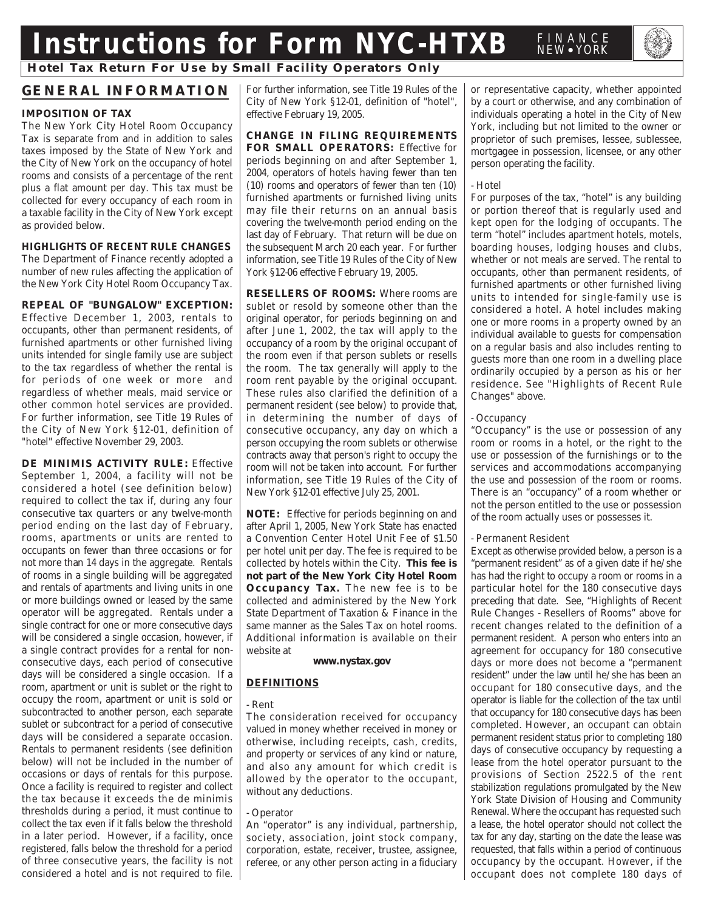# **Instructions for Form NYC-HTXB**



## **Hotel Tax Return For Use by Small Facility Operators Only**

# **GENERAL INFORMATION**

## **IMPOSITION OF TAX**

The New York City Hotel Room Occupancy Tax is separate from and in addition to sales taxes imposed by the State of New York and the City of New York on the occupancy of hotel rooms and consists of a percentage of the rent plus a flat amount per day. This tax must be collected for every occupancy of each room in a taxable facility in the City of New York except as provided below.

## **HIGHLIGHTS OF RECENT RULE CHANGES**

The Department of Finance recently adopted a number of new rules affecting the application of the New York City Hotel Room Occupancy Tax.

**REPEAL OF "BUNGALOW" EXCEPTION:** Effective December 1, 2003, rentals to occupants, other than permanent residents, of furnished apartments or other furnished living units intended for single family use are subject to the tax regardless of whether the rental is for periods of one week or more and regardless of whether meals, maid service or other common hotel services are provided. For further information, see Title 19 Rules of the City of New York §12-01, definition of "hotel" effective November 29, 2003.

**DE MINIMIS ACTIVITY RULE:** Effective September 1, 2004, a facility will not be considered a hotel (see definition below) required to collect the tax if, during any four consecutive tax quarters or any twelve-month period ending on the last day of February, rooms, apartments or units are rented to occupants on fewer than three occasions or for not more than 14 days in the aggregate. Rentals of rooms in a single building will be aggregated and rentals of apartments and living units in one or more buildings owned or leased by the same operator will be aggregated. Rentals under a single contract for one or more consecutive days will be considered a single occasion, however, if a single contract provides for a rental for nonconsecutive days, each period of consecutive days will be considered a single occasion. If a room, apartment or unit is sublet or the right to occupy the room, apartment or unit is sold or subcontracted to another person, each separate sublet or subcontract for a period of consecutive days will be considered a separate occasion. Rentals to permanent residents (see definition below) will not be included in the number of occasions or days of rentals for this purpose. Once a facility is required to register and collect the tax because it exceeds the de minimis thresholds during a period, it must continue to collect the tax even if it falls below the threshold in a later period. However, if a facility, once registered, falls below the threshold for a period of three consecutive years, the facility is not considered a hotel and is not required to file. For further information, see Title 19 Rules of the City of New York §12-01, definition of "hotel", effective February 19, 2005.

## **CHANGE IN FILING REQUIREMENTS FOR SMALL OPERATORS:** Effective for

periods beginning on and after September 1, 2004, operators of hotels having fewer than ten (10) rooms and operators of fewer than ten (10) furnished apartments or furnished living units may file their returns on an annual basis covering the twelve-month period ending on the last day of February. That return will be due on the subsequent March 20 each year. For further information, see Title 19 Rules of the City of New York §12-06 effective February 19, 2005.

**RESELLERS OF ROOMS:** Where rooms are sublet or resold by someone other than the original operator, for periods beginning on and after June 1, 2002, the tax will apply to the occupancy of a room by the original occupant of the room even if that person sublets or resells the room. The tax generally will apply to the room rent payable by the original occupant. These rules also clarified the definition of a permanent resident (see below) to provide that, in determining the number of days of consecutive occupancy, any day on which a person occupying the room sublets or otherwise contracts away that person's right to occupy the room will not be taken into account. For further information, see Title 19 Rules of the City of New York §12-01 effective July 25, 2001.

**NOTE:** Effective for periods beginning on and after April 1, 2005, New York State has enacted a Convention Center Hotel Unit Fee of \$1.50 per hotel unit per day. The fee is required to be collected by hotels within the City. **This fee is not part of the New York City Hotel Room Occupancy Tax.** The new fee is to be collected and administered by the New York State Department of Taxation & Finance in the same manner as the Sales Tax on hotel rooms. Additional information is available on their website at

## **www.nystax.gov**

## **DEFINITIONS**

## - Rent

The consideration received for occupancy valued in money whether received in money or otherwise, including receipts, cash, credits, and property or services of any kind or nature, and also any amount for which credit is allowed by the operator to the occupant, without any deductions.

## - Operator

An "operator" is any individual, partnership, society, association, joint stock company, corporation, estate, receiver, trustee, assignee, referee, or any other person acting in a fiduciary

or representative capacity, whether appointed by a court or otherwise, and any combination of individuals operating a hotel in the City of New York, including but not limited to the owner or proprietor of such premises, lessee, sublessee, mortgagee in possession, licensee, or any other person operating the facility.

#### - Hotel

For purposes of the tax, "hotel" is any building or portion thereof that is regularly used and kept open for the lodging of occupants. The term "hotel" includes apartment hotels, motels, boarding houses, lodging houses and clubs, whether or not meals are served. The rental to occupants, other than permanent residents, of furnished apartments or other furnished living units to intended for single-family use is considered a hotel. A hotel includes making one or more rooms in a property owned by an individual available to guests for compensation on a regular basis and also includes renting to guests more than one room in a dwelling place ordinarily occupied by a person as his or her residence. See "Highlights of Recent Rule Changes" above.

### - Occupancy

"Occupancy" is the use or possession of any room or rooms in a hotel, or the right to the use or possession of the furnishings or to the services and accommodations accompanying the use and possession of the room or rooms. There is an "occupancy" of a room whether or not the person entitled to the use or possession of the room actually uses or possesses it.

#### - Permanent Resident

Except as otherwise provided below, a person is a "permanent resident" as of a given date if he/she has had the right to occupy a room or rooms in a particular hotel for the 180 consecutive days preceding that date. See, "Highlights of Recent Rule Changes - Resellers of Rooms" above for recent changes related to the definition of a permanent resident. A person who enters into an agreement for occupancy for 180 consecutive days or more does not become a "permanent resident" under the law until he/she has been an occupant for 180 consecutive days, and the operator is liable for the collection of the tax until that occupancy for 180 consecutive days has been completed. However, an occupant can obtain permanent resident status prior to completing 180 days of consecutive occupancy by requesting a lease from the hotel operator pursuant to the provisions of Section 2522.5 of the rent stabilization regulations promulgated by the New York State Division of Housing and Community Renewal. Where the occupant has requested such a lease, the hotel operator should not collect the tax for any day, starting on the date the lease was requested, that falls within a period of continuous occupancy by the occupant. However, if the occupant does not complete 180 days of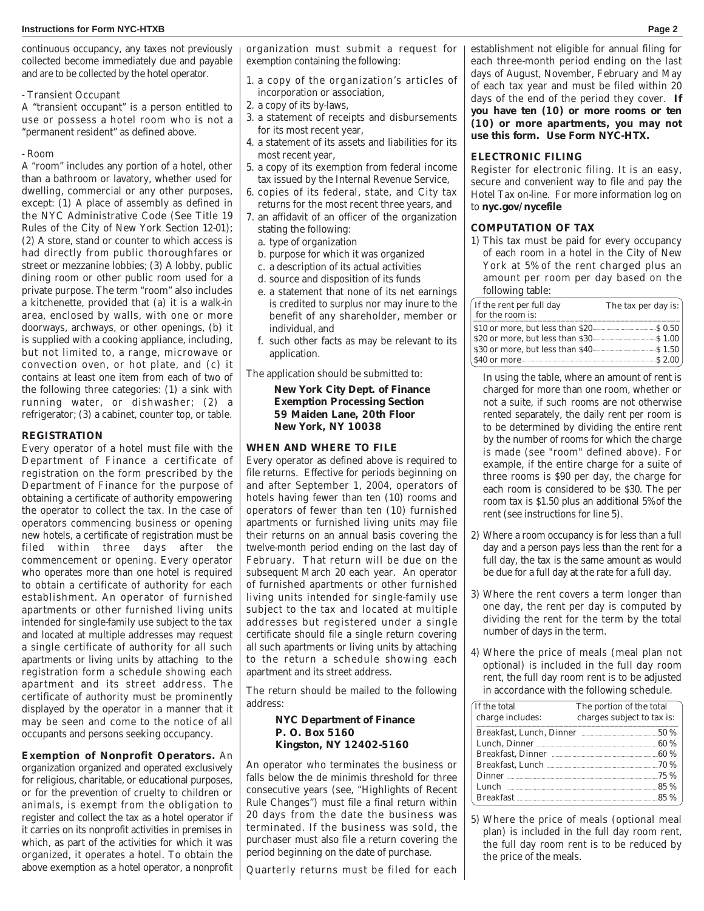continuous occupancy, any taxes not previously collected become immediately due and payable and are to be collected by the hotel operator.

#### - Transient Occupant

A "transient occupant" is a person entitled to use or possess a hotel room who is not a "permanent resident" as defined above.

#### - Room

A "room" includes any portion of a hotel, other than a bathroom or lavatory, whether used for dwelling, commercial or any other purposes, except: (1) A place of assembly as defined in the NYC Administrative Code (See Title 19 Rules of the City of New York Section 12-01); (2) A store, stand or counter to which access is had directly from public thoroughfares or street or mezzanine lobbies; (3) A lobby, public dining room or other public room used for a private purpose. The term "room" also includes a kitchenette, provided that (a) it is a walk-in area, enclosed by walls, with one or more doorways, archways, or other openings, (b) it is supplied with a cooking appliance, including, but not limited to, a range, microwave or convection oven, or hot plate, and (c) it contains at least one item from each of two of the following three categories: (1) a sink with running water, or dishwasher; (2) a refrigerator; (3) a cabinet, counter top, or table.

#### **REGISTRATION**

Every operator of a hotel must file with the Department of Finance a certificate of registration on the form prescribed by the Department of Finance for the purpose of obtaining a certificate of authority empowering the operator to collect the tax. In the case of operators commencing business or opening new hotels, a certificate of registration must be filed within three days after the commencement or opening. Every operator who operates more than one hotel is required to obtain a certificate of authority for each establishment. An operator of furnished apartments or other furnished living units intended for single-family use subject to the tax and located at multiple addresses may request a single certificate of authority for all such apartments or living units by attaching to the registration form a schedule showing each apartment and its street address. The certificate of authority must be prominently displayed by the operator in a manner that it may be seen and come to the notice of all occupants and persons seeking occupancy.

## **Exemption of Nonprofit Operators.** An

organization organized and operated exclusively for religious, charitable, or educational purposes, or for the prevention of cruelty to children or animals, is exempt from the obligation to register and collect the tax as a hotel operator if it carries on its nonprofit activities in premises in which, as part of the activities for which it was organized, it operates a hotel. To obtain the above exemption as a hotel operator, a nonprofit organization must submit a request for exemption containing the following:

- 1. a copy of the organization's articles of incorporation or association,
- 2. a copy of its by-laws,
- 3. a statement of receipts and disbursements for its most recent year,
- 4. a statement of its assets and liabilities for its most recent year,
- 5. a copy of its exemption from federal income tax issued by the Internal Revenue Service,
- 6. copies of its federal, state, and City tax returns for the most recent three years, and
- 7. an affidavit of an officer of the organization stating the following:
	- a. type of organization
	- b. purpose for which it was organized
	- c. a description of its actual activities
	- d. source and disposition of its funds
	- e. a statement that none of its net earnings is credited to surplus nor may inure to the benefit of any shareholder, member or individual, and
	- f. such other facts as may be relevant to its application.

The application should be submitted to:

**New York City Dept. of Finance Exemption Processing Section 59 Maiden Lane, 20th Floor New York, NY 10038**

#### **WHEN AND WHERE TO FILE**

Every operator as defined above is required to file returns. Effective for periods beginning on and after September 1, 2004, operators of hotels having fewer than ten (10) rooms and operators of fewer than ten (10) furnished apartments or furnished living units may file their returns on an annual basis covering the twelve-month period ending on the last day of February. That return will be due on the subsequent March 20 each year. An operator of furnished apartments or other furnished living units intended for single-family use subject to the tax and located at multiple addresses but registered under a single certificate should file a single return covering all such apartments or living units by attaching to the return a schedule showing each apartment and its street address.

The return should be mailed to the following address:

#### **NYC Department of Finance P. O. Box 5160 Kingston, NY 12402-5160**

An operator who terminates the business or falls below the de minimis threshold for three consecutive years (see, "Highlights of Recent Rule Changes") must file a final return within 20 days from the date the business was terminated. If the business was sold, the purchaser must also file a return covering the period beginning on the date of purchase.

Quarterly returns must be filed for each

establishment not eligible for annual filing for each three-month period ending on the last days of August, November, February and May of each tax year and must be filed within 20 days of the end of the period they cover. **If you have ten (10) or more rooms or ten (10) or more apartments, you may not use this form. Use Form NYC-HTX.**

#### **ELECTRONIC FILING**

Register for electronic filing. It is an easy, secure and convenient way to file and pay the Hotel Tax on-line. For more information log on to **nyc.gov/nycefile**

#### **COMPUTATION OF TAX**

1) This tax must be paid for every occupancy of each room in a hotel in the City of New York at 5% of the rent charged plus an amount per room per day based on the following table:

| If the rent per full day<br>for the room is: | The tax per day is: |
|----------------------------------------------|---------------------|
|                                              |                     |
| \$20 or more, but less than \$30.            | $\sim$ \$1.00       |
|                                              |                     |
| S40 or more                                  | $-$ S 2.00          |

In using the table, where an amount of rent is charged for more than one room, whether or not a suite, if such rooms are not otherwise rented separately, the daily rent per room is to be determined by dividing the entire rent by the number of rooms for which the charge is made (see "room" defined above). For example, if the entire charge for a suite of three rooms is \$90 per day, the charge for each room is considered to be \$30. The per room tax is \$1.50 plus an additional 5% of the rent (see instructions for line 5).

- 2) Where a room occupancy is for less than a full day and a person pays less than the rent for a full day, the tax is the same amount as would be due for a full day at the rate for a full day.
- 3) Where the rent covers a term longer than one day, the rent per day is computed by dividing the rent for the term by the total number of days in the term.
- 4) Where the price of meals (meal plan not optional) is included in the full day room rent, the full day room rent is to be adjusted in accordance with the following schedule.

| If the total<br>charge includes: | The portion of the total<br>charges subject to tax is: |
|----------------------------------|--------------------------------------------------------|
| Breakfast, Lunch, Dinner         | .50 %                                                  |
|                                  | 60 %                                                   |
| Breakfast, Dinner                | 60 %                                                   |
|                                  |                                                        |
|                                  | Dinner 25 %                                            |
|                                  |                                                        |
|                                  | 85%                                                    |

5) Where the price of meals (optional meal plan) is included in the full day room rent, the full day room rent is to be reduced by the price of the meals.